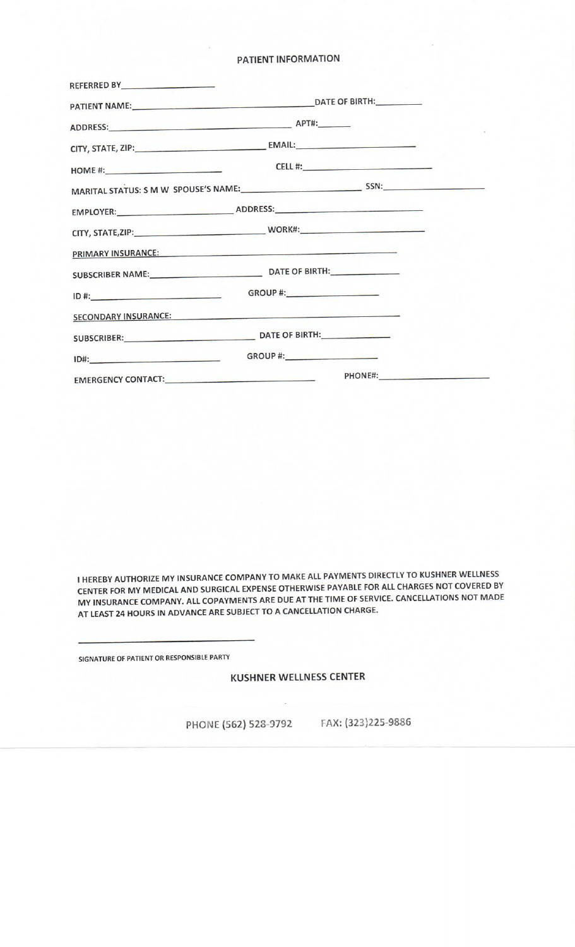### PATIENT INFORMATION

| REFERRED BY <b>Andrew Products</b>                                                                                                                                                                                             |  |  |
|--------------------------------------------------------------------------------------------------------------------------------------------------------------------------------------------------------------------------------|--|--|
|                                                                                                                                                                                                                                |  |  |
|                                                                                                                                                                                                                                |  |  |
|                                                                                                                                                                                                                                |  |  |
|                                                                                                                                                                                                                                |  |  |
|                                                                                                                                                                                                                                |  |  |
|                                                                                                                                                                                                                                |  |  |
|                                                                                                                                                                                                                                |  |  |
| PRIMARY INSURANCE: New York State State State State State State State State State State State State State State State State State State State State State State State State State State State State State State State State St |  |  |
|                                                                                                                                                                                                                                |  |  |
|                                                                                                                                                                                                                                |  |  |
| SECONDARY INSURANCE:                                                                                                                                                                                                           |  |  |
|                                                                                                                                                                                                                                |  |  |
|                                                                                                                                                                                                                                |  |  |
|                                                                                                                                                                                                                                |  |  |

I HEREBY AUTHORIZE MY INSURANCE COMPANY TO MAKE ALL PAYMENTS DIRECTLY TO KUSHNER WELLNESS CENTER FOR MY MEDICAL AND SURGICAL EXPENSE OTHERWISE PAYABLE FOR ALL CHARGES NOT COVERED BY MY INSURANCE COMPANY. ALL COPAYMENTS ARE DUE AT THE TIME OF SERVICE. CANCELLATIONS NOT MADE AT LEAST 24 HOURS IN ADVANCE ARE SUBJECT TO A CANCELLATION CHARGE.

SIGNATURE OF PATIENT OR RESPONSIBLE PARTY

## KUSHNER WELLNESS CENTER

PHONE (562) 528-3792 FAX: (323)225-9886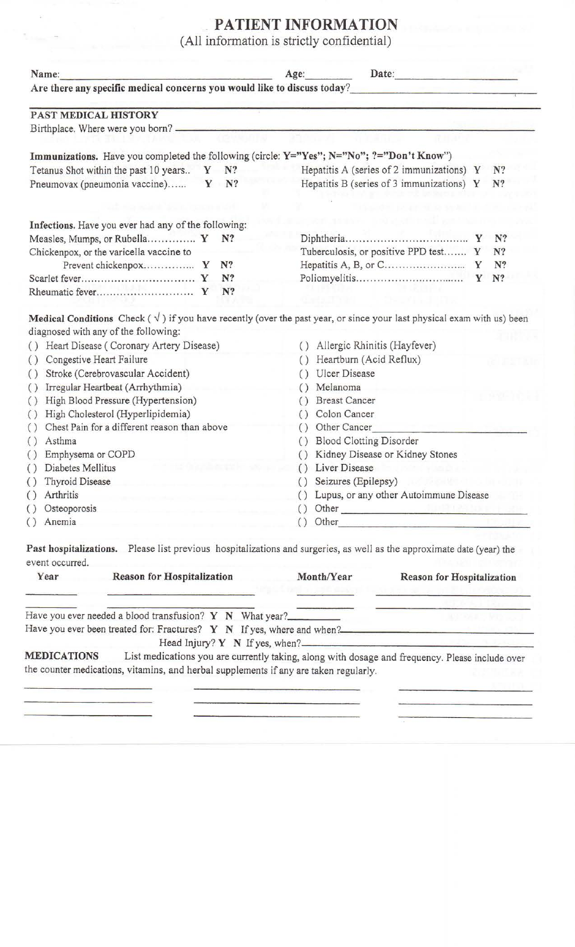# **PATIENT INFORMATION**

(All information is strictly confidential)

| Name:                                                                                                                                                                                                                                                                                                                                                                                                                                                                                                                                                                               | Date:<br>Age: |          |                                                                                                  |                                                                                                                                              |                                           |   |    |
|-------------------------------------------------------------------------------------------------------------------------------------------------------------------------------------------------------------------------------------------------------------------------------------------------------------------------------------------------------------------------------------------------------------------------------------------------------------------------------------------------------------------------------------------------------------------------------------|---------------|----------|--------------------------------------------------------------------------------------------------|----------------------------------------------------------------------------------------------------------------------------------------------|-------------------------------------------|---|----|
| Are there any specific medical concerns you would like to discuss today?                                                                                                                                                                                                                                                                                                                                                                                                                                                                                                            |               |          |                                                                                                  |                                                                                                                                              |                                           |   |    |
| PAST MEDICAL HISTORY                                                                                                                                                                                                                                                                                                                                                                                                                                                                                                                                                                |               |          |                                                                                                  |                                                                                                                                              |                                           |   |    |
|                                                                                                                                                                                                                                                                                                                                                                                                                                                                                                                                                                                     |               |          |                                                                                                  |                                                                                                                                              |                                           |   |    |
| Immunizations. Have you completed the following (circle: Y="Yes"; N="No"; ?="Don't Know")                                                                                                                                                                                                                                                                                                                                                                                                                                                                                           |               |          |                                                                                                  |                                                                                                                                              |                                           |   |    |
| Tetanus Shot within the past 10 years                                                                                                                                                                                                                                                                                                                                                                                                                                                                                                                                               |               | $Y$ $N?$ |                                                                                                  |                                                                                                                                              | Hepatitis A (series of 2 immunizations) Y |   | N? |
| Pneumovax (pneumonia vaccine)                                                                                                                                                                                                                                                                                                                                                                                                                                                                                                                                                       | Y             | N?       |                                                                                                  | Hepatitis B (series of 3 immunizations) $Y$<br>N?                                                                                            |                                           |   |    |
|                                                                                                                                                                                                                                                                                                                                                                                                                                                                                                                                                                                     |               |          |                                                                                                  |                                                                                                                                              |                                           |   |    |
| Infections. Have you ever had any of the following:                                                                                                                                                                                                                                                                                                                                                                                                                                                                                                                                 |               |          |                                                                                                  |                                                                                                                                              |                                           |   |    |
| Measles, Mumps, or Rubella Y N?                                                                                                                                                                                                                                                                                                                                                                                                                                                                                                                                                     |               |          |                                                                                                  |                                                                                                                                              |                                           |   | N? |
| Chickenpox, or the varicella vaccine to                                                                                                                                                                                                                                                                                                                                                                                                                                                                                                                                             |               |          |                                                                                                  |                                                                                                                                              | Tuberculosis, or positive PPD test Y      |   | N? |
|                                                                                                                                                                                                                                                                                                                                                                                                                                                                                                                                                                                     |               | N?       |                                                                                                  |                                                                                                                                              |                                           |   | N? |
|                                                                                                                                                                                                                                                                                                                                                                                                                                                                                                                                                                                     |               | N?       |                                                                                                  |                                                                                                                                              |                                           | Y | N? |
|                                                                                                                                                                                                                                                                                                                                                                                                                                                                                                                                                                                     |               | N?       |                                                                                                  |                                                                                                                                              |                                           |   |    |
| <b>Medical Conditions</b> Check $(\sqrt{ } )$ if you have recently (over the past year, or since your last physical exam with us) been<br>diagnosed with any of the following:<br>() Heart Disease (Coronary Artery Disease)<br>Congestive Heart Failure<br>$\left( \right)$<br>Stroke (Cerebrovascular Accident)<br>$\left( \right)$<br>Irregular Heartbeat (Arrhythmia)<br>$\left( \right)$<br>High Blood Pressure (Hypertension)<br>$\left( \right)$<br>High Cholesterol (Hyperlipidemia)<br>$\left(\right)$<br>Chest Pain for a different reason than above<br>$\left( \right)$ |               |          | $\left( \right)$<br>$\left( \right)$<br>$\left( \right)$<br>$\left( \right)$<br>$\left( \right)$ | Allergic Rhinitis (Hayfever)<br>Heartburn (Acid Reflux)<br>Ulcer Disease<br>Melanoma<br><b>Breast Cancer</b><br>Colon Cancer<br>Other Cancer |                                           |   |    |
| Asthma<br>$\left( \right)$                                                                                                                                                                                                                                                                                                                                                                                                                                                                                                                                                          |               |          | $\left( \right)$                                                                                 | <b>Blood Clotting Disorder</b>                                                                                                               |                                           |   |    |
| Emphysema or COPD<br>$\left(\right)$                                                                                                                                                                                                                                                                                                                                                                                                                                                                                                                                                |               |          |                                                                                                  | Kidney Disease or Kidney Stones                                                                                                              |                                           |   |    |
| Diabetes Mellitus<br>$\left( \right)$                                                                                                                                                                                                                                                                                                                                                                                                                                                                                                                                               |               |          |                                                                                                  | () Liver Disease                                                                                                                             |                                           |   |    |
| () Thyroid Disease                                                                                                                                                                                                                                                                                                                                                                                                                                                                                                                                                                  |               |          |                                                                                                  | () Seizures (Epilepsy)<br>Lupus, or any other Autoimmune Disease                                                                             |                                           |   |    |
| Arthritis<br>$\left(\right)$<br>and the state of the control of the control of the control of                                                                                                                                                                                                                                                                                                                                                                                                                                                                                       |               |          |                                                                                                  |                                                                                                                                              |                                           |   |    |
| Osteoporosis<br>$\bigcirc$                                                                                                                                                                                                                                                                                                                                                                                                                                                                                                                                                          |               |          |                                                                                                  |                                                                                                                                              | $() Other _______$                        |   |    |
| Anemia<br>$\bigcirc$                                                                                                                                                                                                                                                                                                                                                                                                                                                                                                                                                                |               |          |                                                                                                  |                                                                                                                                              | () Other                                  |   |    |
| Past hospitalizations. Please list previous hospitalizations and surgeries, as well as the approximate date (year) the<br>event occurred.                                                                                                                                                                                                                                                                                                                                                                                                                                           |               |          |                                                                                                  |                                                                                                                                              |                                           |   |    |
| Reason for Hospitalization<br>Year                                                                                                                                                                                                                                                                                                                                                                                                                                                                                                                                                  |               |          |                                                                                                  | Month/Year                                                                                                                                   | <b>Reason for Hospitalization</b>         |   |    |

| ASSINUOS AUS AAUU MATHAMMINAUS                               |  | $\mathbf{1}$                                                               | Tremoni toi troopitamaation |
|--------------------------------------------------------------|--|----------------------------------------------------------------------------|-----------------------------|
|                                                              |  |                                                                            |                             |
| Have you ever needed a blood transfusion? $Y \ N$ What year? |  |                                                                            |                             |
|                                                              |  | Have you ever been treated for: Fractures? $Y \ N$ If yes, where and when? |                             |
|                                                              |  | Head Injury? Y N If yes, when?                                             |                             |

**MEDICATIONS** List medications you are currently taking, along with dosage and frequency. Please include over the counter medications, vitamins, and herbal supplements if any are taken regularly.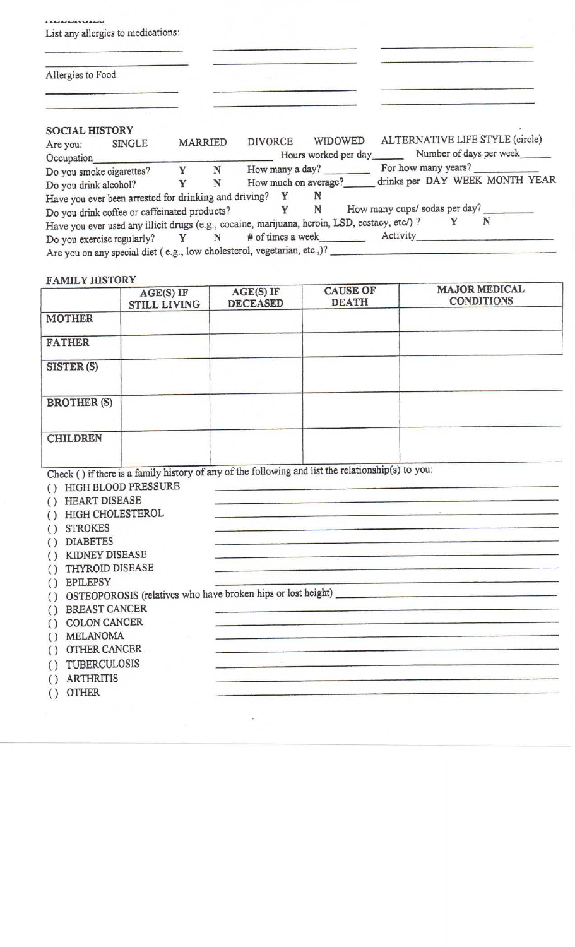| List any allergies to medications:                        |   |                |                                                                                                              |
|-----------------------------------------------------------|---|----------------|--------------------------------------------------------------------------------------------------------------|
| Allergies to Food:                                        |   |                |                                                                                                              |
| <b>SOCIAL HISTORY</b><br>SINGLE<br>Are you:<br>Occupation |   | <b>MARRIED</b> | ALTERNATIVE LIFE STYLE (circle)<br>WIDOWED<br><b>DIVORCE</b><br>Hours worked per day Number of days per week |
| Do you smoke cigarettes?                                  |   |                | Y N How many a day? For how many years?                                                                      |
| Do you drink alcohol?                                     | Y | N              | drinks per DAY WEEK MONTH YEAR<br>How much on average?                                                       |
| Have you ever been arrested for drinking and driving? Y   |   |                | N                                                                                                            |
| Do you drink coffee or caffeinated products?              |   |                | How many cups/ sodas per day?<br>Y N                                                                         |
|                                                           |   |                | N<br>Y<br>Have you ever used any illicit drugs (e.g., cocaine, marijuana, heroin, LSD, ecstacy, etc/) ?      |
|                                                           |   |                | Do you exercise regularly? Y N # of times a week Activity                                                    |
|                                                           |   |                | Are you on any special diet (e.g., low cholesterol, vegetarian, etc.,)?                                      |

## **FAMILY HISTORY**

|                                                                                                                                                         | $AGE(S)$ IF<br><b>STILL LIVING</b> | AGE(S) IF<br><b>DECEASED</b> | <b>CAUSE OF</b><br><b>DEATH</b> | <b>MAJOR MEDICAL</b><br><b>CONDITIONS</b>                                                                            |
|---------------------------------------------------------------------------------------------------------------------------------------------------------|------------------------------------|------------------------------|---------------------------------|----------------------------------------------------------------------------------------------------------------------|
| <b>MOTHER</b>                                                                                                                                           |                                    |                              |                                 |                                                                                                                      |
| <b>FATHER</b>                                                                                                                                           |                                    |                              |                                 |                                                                                                                      |
| SISTER (S)                                                                                                                                              |                                    |                              |                                 |                                                                                                                      |
| <b>BROTHER (S)</b>                                                                                                                                      |                                    |                              |                                 |                                                                                                                      |
| <b>CHILDREN</b>                                                                                                                                         |                                    |                              |                                 |                                                                                                                      |
| () HIGH BLOOD PRESSURE<br><b>HEART DISEASE</b><br>$\left( \right)$<br><b>HIGH CHOLESTEROL</b><br>$\left( \right)$<br><b>STROKES</b><br>$\left( \right)$ |                                    |                              |                                 | <u> 1980 - Jan Barbara de Santo de Artista de Artista de Artista de Artista de Artista de Artista de Artista de </u> |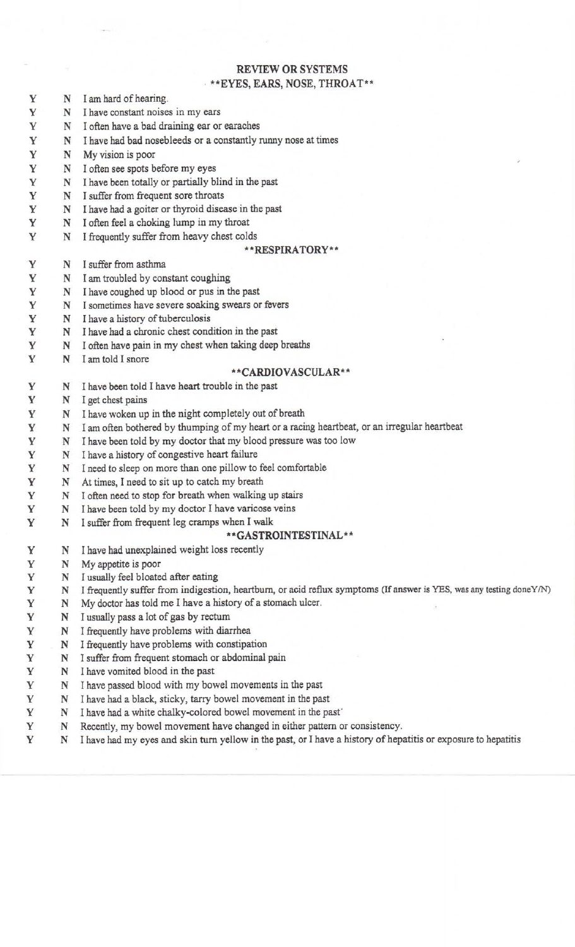## **REVIEW OR** SYSTEMS

# **\*\*EYES, EARS, NOSE, THROAT\*\***

- Y N I am hard of hearing.
- Y N I have constant noises in my ears
- Y N I often have a bad draining ear or earaches
- Y N I have had bad nosebleeds or a constantly runny nose at times
- Y N My vision is poor
- Y N I often see spots before my eyes
- Y N I have been totally or partially blind in the past
- Y N I suffer from frequent sore throats
- Y N I have had a goiter or thyroid disease in the past
- Y N I often feel a choking lump in my throat
- Y N I frequently suffer from heavy chest colds

#### **\*\*RESPIRATORY\*\***

- **Y** N I suffer from asthma
- Y N I am troubled by constant coughing
- Y N I have coughed up blood or pus in the past
- Y N I sometimes have severe soaking swears or fevers
- Y N I have a history of tuberculosis
- Y N I have had a chronic chest condition in the past
- Y N I often have pain in my chest when taking deep breaths
- Y N I am told I snore

#### **\* 'CARDIOVASCULAR\* \***

- Y N I have been told I have heart trouble in the past
- Y N I get chest pains
- Y N I have woken up in the night completely out of breath
- Y N I am often bothered by thumping of my heart or a racing heartbeat, or an irregular heartbeat
- Y N I have been told by my doctor that my blood pressure was too low
- Y N I have a history of congestive heart failure
- Y N I need to sleep on more than one pillow to feel comfortable
- Y N At times, I need to sit up to catch my breath
- Y N I often need to stop for breath when walking up stairs
- Y N I have been told by my doctor I have varicose veins
- Y N I suffer from frequent leg cramps when I walk

#### **\* 'GASTROINTESTINAL\* \***

- Y N I have had unexplained weight loss recently
- Y N My appetite is poor
- Y N I usually feel bloated after eating
- Y N I frequently suffer from indigestion, heartburn, or acid reflux symptoms (If answer is YES, was any testing doneY/N)
- Y N My doctor has told me I have a history of a stomach ulcer.
- Y N I usually pass a lot of gas by rectum
- Y N I frequently have problems with diarrhea
- Y N I frequently have problems with constipation
- Y N I suffer from frequent stomach or abdominal pain
- Y N I have vomited blood in the past
- Y N I have passed blood with my bowel movements in the past
- Y N I have had a black, sticky, tarry bowel movement in the past
- Y N I have had a white chalky-colored bowel movement in the past'
- Y N Recently, my bowel movement have changed in either pattern or consistency.
- Y N I have had my eyes and skin turn yellow in the past, or I have a history of hepatitis or exposure to hepatitis